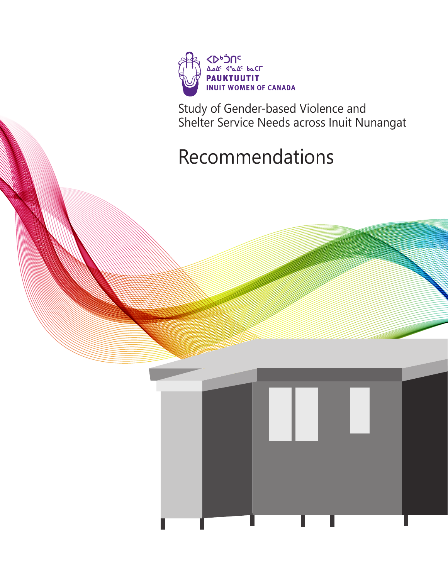

Study of Gender-based Violence and Shelter Service Needs across Inuit Nunangat

## Recommendations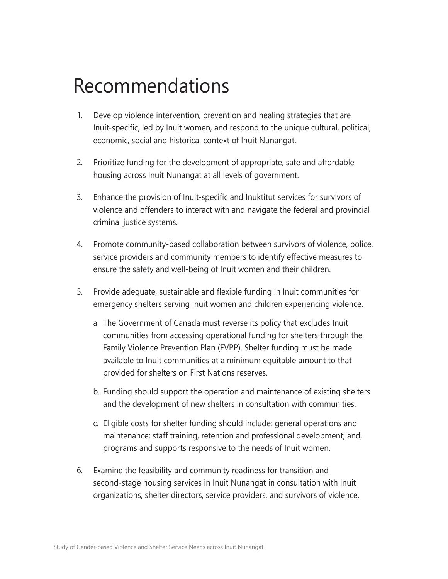## Recommendations

- 1. Develop violence intervention, prevention and healing strategies that are Inuit-specific, led by Inuit women, and respond to the unique cultural, political, economic, social and historical context of Inuit Nunangat.
- 2. Prioritize funding for the development of appropriate, safe and affordable housing across Inuit Nunangat at all levels of government.
- 3. Enhance the provision of Inuit-specific and Inuktitut services for survivors of violence and offenders to interact with and navigate the federal and provincial criminal justice systems.
- 4. Promote community-based collaboration between survivors of violence, police, service providers and community members to identify effective measures to ensure the safety and well-being of Inuit women and their children.
- 5. Provide adequate, sustainable and flexible funding in Inuit communities for emergency shelters serving Inuit women and children experiencing violence.
	- a. The Government of Canada must reverse its policy that excludes Inuit communities from accessing operational funding for shelters through the Family Violence Prevention Plan (FVPP). Shelter funding must be made available to Inuit communities at a minimum equitable amount to that provided for shelters on First Nations reserves.
	- b. Funding should support the operation and maintenance of existing shelters and the development of new shelters in consultation with communities.
	- c. Eligible costs for shelter funding should include: general operations and maintenance; staff training, retention and professional development; and, programs and supports responsive to the needs of Inuit women.
- 6. Examine the feasibility and community readiness for transition and second-stage housing services in Inuit Nunangat in consultation with Inuit organizations, shelter directors, service providers, and survivors of violence.